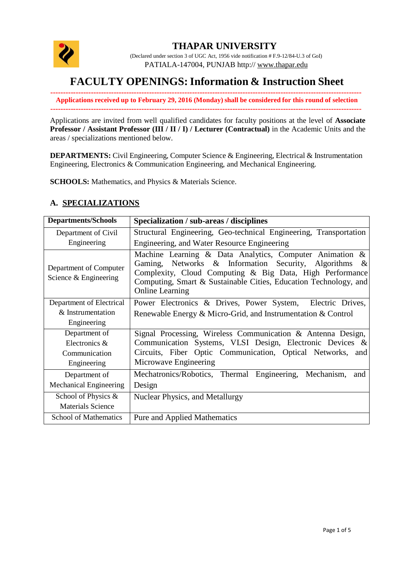

## **THAPAR UNIVERSITY**

(Declared under section 3 of UGC Act, 1956 vide notification # F.9-12/84-U.3 of GoI) PATIALA-147004, PUNJAB http:// [www.thapar.edu](http://www.thapar.edu/)

# **FACULTY OPENINGS:Information & Instruction Sheet**

**--------------------------------------------------------------------------------------------------------------------------- Applications received up to February 29, 2016 (Monday) shall be considered for this round of selection ---------------------------------------------------------------------------------------------------------------------------**

Applications are invited from well qualified candidates for faculty positions at the level of **Associate Professor / Assistant Professor (III / II / I) / Lecturer (Contractual)** in the Academic Units and the areas / specializations mentioned below.

**DEPARTMENTS:** Civil Engineering, Computer Science & Engineering, Electrical & Instrumentation Engineering, Electronics & Communication Engineering, and Mechanical Engineering.

**SCHOOLS:** Mathematics, and Physics & Materials Science.

### **A. SPECIALIZATIONS**

| <b>Departments/Schools</b>                      | Specialization / sub-areas / disciplines                                                                                                                                                                                                                                         |
|-------------------------------------------------|----------------------------------------------------------------------------------------------------------------------------------------------------------------------------------------------------------------------------------------------------------------------------------|
| Department of Civil                             | Structural Engineering, Geo-technical Engineering, Transportation                                                                                                                                                                                                                |
| Engineering                                     | Engineering, and Water Resource Engineering                                                                                                                                                                                                                                      |
| Department of Computer<br>Science & Engineering | Machine Learning & Data Analytics, Computer Animation &<br>Gaming, Networks & Information Security, Algorithms<br>$\&$<br>Complexity, Cloud Computing & Big Data, High Performance<br>Computing, Smart & Sustainable Cities, Education Technology, and<br><b>Online Learning</b> |
| Department of Electrical                        | Power Electronics & Drives, Power System, Electric Drives,                                                                                                                                                                                                                       |
| & Instrumentation                               | Renewable Energy $\&$ Micro-Grid, and Instrumentation $\&$ Control                                                                                                                                                                                                               |
| Engineering                                     |                                                                                                                                                                                                                                                                                  |
| Department of                                   | Signal Processing, Wireless Communication & Antenna Design,                                                                                                                                                                                                                      |
| Electronics &                                   | Communication Systems, VLSI Design, Electronic Devices &                                                                                                                                                                                                                         |
| Communication                                   | Circuits, Fiber Optic Communication, Optical Networks, and                                                                                                                                                                                                                       |
| Engineering                                     | Microwave Engineering                                                                                                                                                                                                                                                            |
| Department of                                   | Mechatronics/Robotics, Thermal Engineering,<br>Mechanism,<br>and                                                                                                                                                                                                                 |
| Mechanical Engineering                          | Design                                                                                                                                                                                                                                                                           |
| School of Physics &                             | <b>Nuclear Physics, and Metallurgy</b>                                                                                                                                                                                                                                           |
| <b>Materials Science</b>                        |                                                                                                                                                                                                                                                                                  |
| <b>School of Mathematics</b>                    | <b>Pure and Applied Mathematics</b>                                                                                                                                                                                                                                              |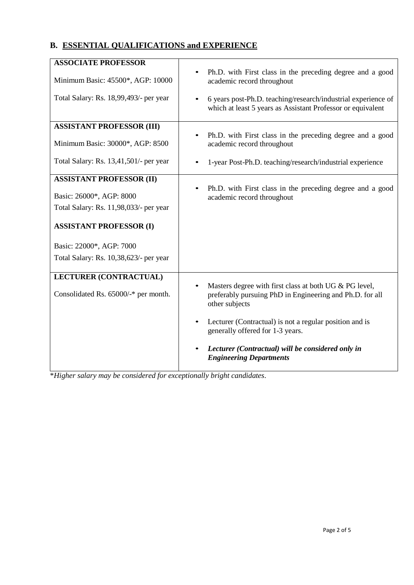## **B. ESSENTIAL QUALIFICATIONS and EXPERIENCE**

| <b>ASSOCIATE PROFESSOR</b>             |                                                                                                                                      |
|----------------------------------------|--------------------------------------------------------------------------------------------------------------------------------------|
| Minimum Basic: 45500*, AGP: 10000      | Ph.D. with First class in the preceding degree and a good<br>academic record throughout                                              |
| Total Salary: Rs. 18,99,493/- per year | 6 years post-Ph.D. teaching/research/industrial experience of<br>which at least 5 years as Assistant Professor or equivalent         |
| <b>ASSISTANT PROFESSOR (III)</b>       |                                                                                                                                      |
| Minimum Basic: 30000*, AGP: 8500       | Ph.D. with First class in the preceding degree and a good<br>$\bullet$<br>academic record throughout                                 |
| Total Salary: Rs. 13,41,501/- per year | 1-year Post-Ph.D. teaching/research/industrial experience                                                                            |
| <b>ASSISTANT PROFESSOR (II)</b>        |                                                                                                                                      |
| Basic: 26000*, AGP: 8000               | Ph.D. with First class in the preceding degree and a good<br>$\bullet$<br>academic record throughout                                 |
| Total Salary: Rs. 11,98,033/- per year |                                                                                                                                      |
| <b>ASSISTANT PROFESSOR (I)</b>         |                                                                                                                                      |
| Basic: 22000*, AGP: 7000               |                                                                                                                                      |
| Total Salary: Rs. 10,38,623/- per year |                                                                                                                                      |
| <b>LECTURER (CONTRACTUAL)</b>          |                                                                                                                                      |
| Consolidated Rs. 65000/-* per month.   | Masters degree with first class at both UG & PG level,<br>preferably pursuing PhD in Engineering and Ph.D. for all<br>other subjects |
|                                        | Lecturer (Contractual) is not a regular position and is<br>$\bullet$<br>generally offered for 1-3 years.                             |
|                                        | Lecturer (Contractual) will be considered only in<br><b>Engineering Departments</b>                                                  |

\**Higher salary may be considered for exceptionally bright candidates*.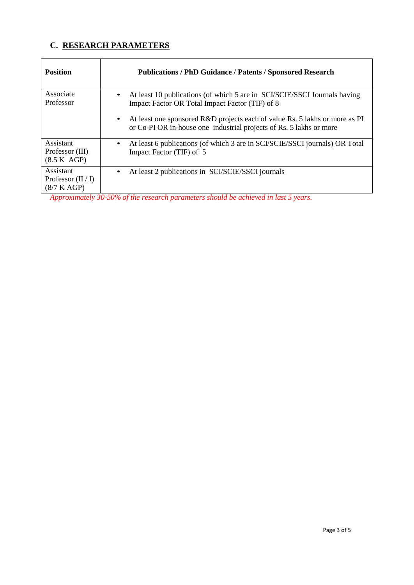## **C. RESEARCH PARAMETERS**

| <b>Position</b>                                  | <b>Publications / PhD Guidance / Patents / Sponsored Research</b>                                                                                               |
|--------------------------------------------------|-----------------------------------------------------------------------------------------------------------------------------------------------------------------|
| Associate<br>Professor                           | At least 10 publications (of which 5 are in SCI/SCIE/SSCI Journals having<br>$\bullet$<br>Impact Factor OR Total Impact Factor (TIF) of 8                       |
|                                                  | At least one sponsored R&D projects each of value Rs. 5 lakhs or more as PI<br>$\bullet$<br>or Co-PI OR in-house one industrial projects of Rs. 5 lakhs or more |
| Assistant<br>Professor (III)<br>(8.5 K AGP)      | At least 6 publications (of which 3 are in SCI/SCIE/SSCI journals) OR Total<br>٠<br>Impact Factor (TIF) of 5                                                    |
| Assistant<br>Professor $(II / I)$<br>(8/7 K AGP) | At least 2 publications in SCI/SCIE/SSCI journals<br>٠<br>$\sim$ $\sim$ $\sim$ $\sim$ $\sim$ $\sim$<br>.<br>.                                                   |

*Approximately 30-50% of the research parameters should be achieved in last 5 years.*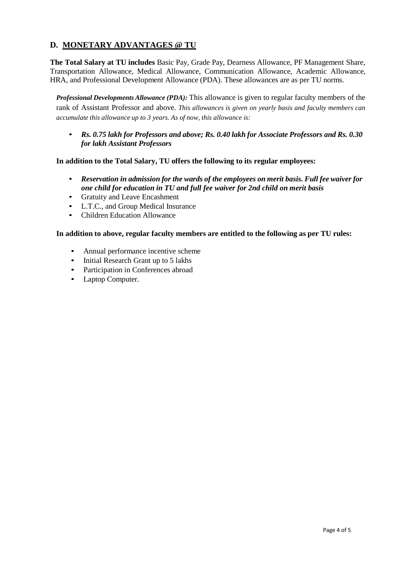### **D. MONETARY ADVANTAGES @ TU**

**The Total Salary at TU includes** Basic Pay, Grade Pay, Dearness Allowance, PF Management Share, Transportation Allowance, Medical Allowance, Communication Allowance, Academic Allowance, HRA, and Professional Development Allowance (PDA). These allowances are as per TU norms.

*Professional Developments Allowance (PDA):* This allowance is given to regular faculty members of the rank of Assistant Professor and above. *This allowances is given on yearly basis and faculty members can accumulate this allowance up to 3 years. As of now, this allowance is:*

• *Rs. 0.75 lakh for Professors and above; Rs. 0.40 lakh for Associate Professors and Rs. 0.30 for lakh Assistant Professors*

#### **In addition to the Total Salary, TU offers the following to its regular employees:**

- *Reservation in admission for the wards of the employees on merit basis. Full fee waiver for one child for education in TU and full fee waiver for 2nd child on merit basis*
- Gratuity and Leave Encashment
- L.T.C., and Group Medical Insurance
- Children Education Allowance

#### **In addition to above, regular faculty members are entitled to the following as per TU rules:**

- Annual performance incentive scheme
- Initial Research Grant up to 5 lakhs
- Participation in Conferences abroad
- Laptop Computer.